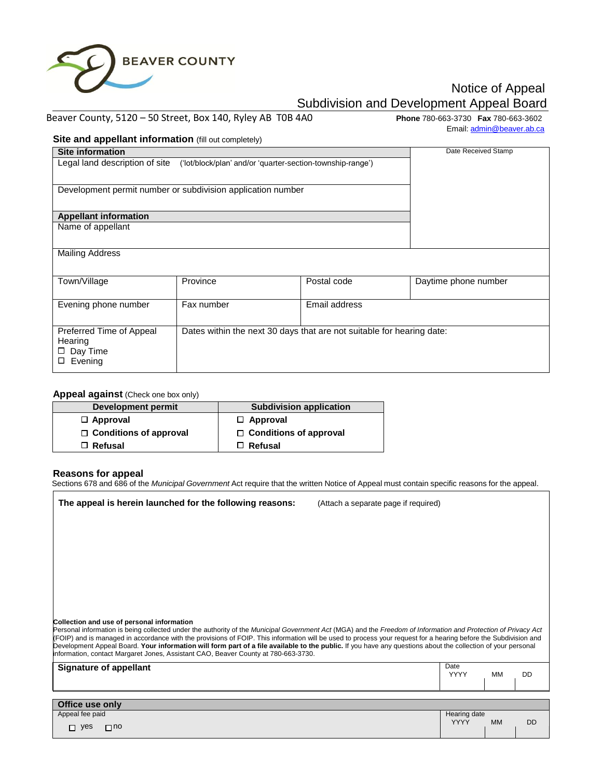

# Notice of Appeal Subdivision and Development Appeal Board

### Beaver County, 5120 – 50 Street, Box 140, Ryley AB T0B 4A0 **Phone** 780-663-3730 **Fax** 780-663-3602

Email: admin@beaver.ab.ca

## **Site and appellant information** (fill out completely)

| $\bullet$ . $\bullet$ and appoiant intermation (iii) out completely $\prime$              |                                                                       |               |                      |
|-------------------------------------------------------------------------------------------|-----------------------------------------------------------------------|---------------|----------------------|
| <b>Site information</b>                                                                   |                                                                       |               | Date Received Stamp  |
| Legal land description of site ('lot/block/plan' and/or 'quarter-section-township-range') |                                                                       |               |                      |
| Development permit number or subdivision application number                               |                                                                       |               |                      |
| <b>Appellant information</b>                                                              |                                                                       |               |                      |
| Name of appellant                                                                         |                                                                       |               |                      |
| <b>Mailing Address</b>                                                                    |                                                                       |               |                      |
| Town/Village                                                                              | Province                                                              | Postal code   | Daytime phone number |
| Evening phone number                                                                      | Fax number                                                            | Email address |                      |
| Preferred Time of Appeal<br>Hearing<br>$\square$ Day Time<br>Evening<br>□                 | Dates within the next 30 days that are not suitable for hearing date: |               |                      |

## **Appeal against** (Check one box only)

| Development permit            | <b>Subdivision application</b> |  |
|-------------------------------|--------------------------------|--|
| $\Box$ Approval               | $\Box$ Approval                |  |
| $\Box$ Conditions of approval | $\Box$ Conditions of approval  |  |
| $\Box$ Refusal                | $\Box$ Refusal                 |  |

#### **Reasons for appeal**

Sections 678 and 686 of the *Municipal Government* Act require that the written Notice of Appeal must contain specific reasons for the appeal.

| The appeal is herein launched for the following reasons:                                                                                                                                                                                                                                                                                                                                                                                                                                                                                                                                                                              | (Attach a separate page if required) |                             |           |           |
|---------------------------------------------------------------------------------------------------------------------------------------------------------------------------------------------------------------------------------------------------------------------------------------------------------------------------------------------------------------------------------------------------------------------------------------------------------------------------------------------------------------------------------------------------------------------------------------------------------------------------------------|--------------------------------------|-----------------------------|-----------|-----------|
|                                                                                                                                                                                                                                                                                                                                                                                                                                                                                                                                                                                                                                       |                                      |                             |           |           |
|                                                                                                                                                                                                                                                                                                                                                                                                                                                                                                                                                                                                                                       |                                      |                             |           |           |
|                                                                                                                                                                                                                                                                                                                                                                                                                                                                                                                                                                                                                                       |                                      |                             |           |           |
|                                                                                                                                                                                                                                                                                                                                                                                                                                                                                                                                                                                                                                       |                                      |                             |           |           |
| Collection and use of personal information<br>Personal information is being collected under the authority of the Municipal Government Act (MGA) and the Freedom of Information and Protection of Privacy Act<br>(FOIP) and is managed in accordance with the provisions of FOIP. This information will be used to process your request for a hearing before the Subdivision and<br>Development Appeal Board. Your information will form part of a file available to the public. If you have any questions about the collection of your personal<br>information, contact Margaret Jones, Assistant CAO, Beaver County at 780-663-3730. |                                      |                             |           |           |
| <b>Signature of appellant</b>                                                                                                                                                                                                                                                                                                                                                                                                                                                                                                                                                                                                         |                                      | Date<br><b>YYYY</b>         | MМ        | <b>DD</b> |
|                                                                                                                                                                                                                                                                                                                                                                                                                                                                                                                                                                                                                                       |                                      |                             |           |           |
| Office use only                                                                                                                                                                                                                                                                                                                                                                                                                                                                                                                                                                                                                       |                                      |                             |           |           |
| Appeal fee paid                                                                                                                                                                                                                                                                                                                                                                                                                                                                                                                                                                                                                       |                                      | Hearing date<br><b>YYYY</b> | <b>MM</b> | <b>DD</b> |
| $\Box$ yes<br>$\Box$ no                                                                                                                                                                                                                                                                                                                                                                                                                                                                                                                                                                                                               |                                      |                             |           |           |
|                                                                                                                                                                                                                                                                                                                                                                                                                                                                                                                                                                                                                                       |                                      |                             |           |           |